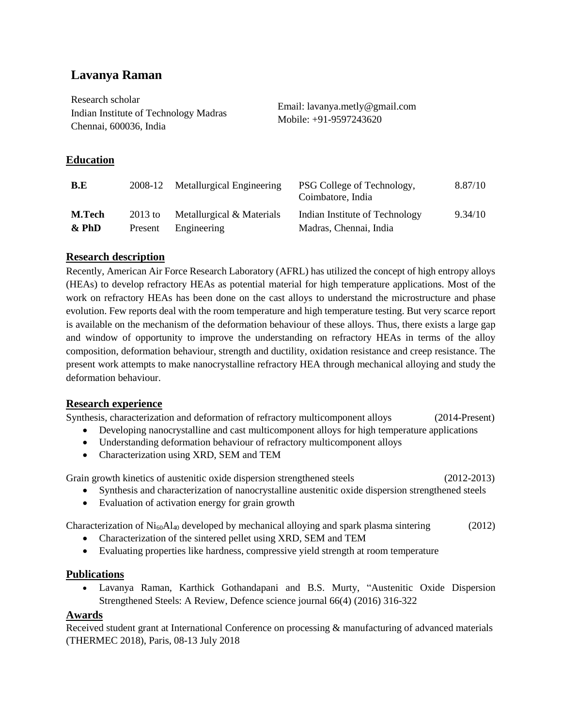# **Lavanya Raman**

Research scholar Indian Institute of Technology Madras Chennai, 600036, India

Email: lavanya.metly@gmail.com Mobile: +91-9597243620

### **Education**

| B.E           |         | 2008-12 Metallurgical Engineering | PSG College of Technology,<br>Coimbatore, India | 8.87/10 |
|---------------|---------|-----------------------------------|-------------------------------------------------|---------|
| <b>M.Tech</b> | 2013 to | Metallurgical & Materials         | Indian Institute of Technology                  | 9.34/10 |
| $\&$ PhD      | Present | Engineering                       | Madras, Chennai, India                          |         |

### **Research description**

Recently, American Air Force Research Laboratory (AFRL) has utilized the concept of high entropy alloys (HEAs) to develop refractory HEAs as potential material for high temperature applications. Most of the work on refractory HEAs has been done on the cast alloys to understand the microstructure and phase evolution. Few reports deal with the room temperature and high temperature testing. But very scarce report is available on the mechanism of the deformation behaviour of these alloys. Thus, there exists a large gap and window of opportunity to improve the understanding on refractory HEAs in terms of the alloy composition, deformation behaviour, strength and ductility, oxidation resistance and creep resistance. The present work attempts to make nanocrystalline refractory HEA through mechanical alloying and study the deformation behaviour.

### **Research experience**

Synthesis, characterization and deformation of refractory multicomponent alloys (2014-Present)

- Developing nanocrystalline and cast multicomponent alloys for high temperature applications
- Understanding deformation behaviour of refractory multicomponent alloys
- Characterization using XRD, SEM and TEM

Grain growth kinetics of austenitic oxide dispersion strengthened steels (2012-2013)

- Synthesis and characterization of nanocrystalline austenitic oxide dispersion strengthened steels
- Evaluation of activation energy for grain growth

Characterization of  $\text{Ni}_{60}\text{Al}_{40}$  developed by mechanical alloying and spark plasma sintering (2012)

- Characterization of the sintered pellet using XRD, SEM and TEM
- Evaluating properties like hardness, compressive yield strength at room temperature

### **Publications**

• Lavanya Raman, Karthick Gothandapani and B.S. Murty, "Austenitic Oxide Dispersion Strengthened Steels: A Review, Defence science journal 66(4) (2016) 316-322

### **Awards**

Received student grant at International Conference on processing & manufacturing of advanced materials (THERMEC 2018), Paris, 08-13 July 2018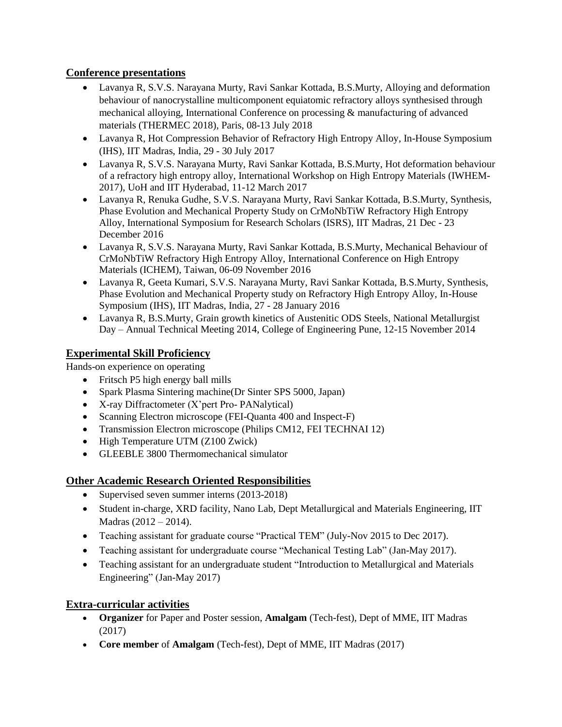### **Conference presentations**

- Lavanya R, S.V.S. Narayana Murty, Ravi Sankar Kottada, B.S.Murty, Alloying and deformation behaviour of nanocrystalline multicomponent equiatomic refractory alloys synthesised through mechanical alloying, International Conference on processing & manufacturing of advanced materials (THERMEC 2018), Paris, 08-13 July 2018
- Lavanya R, Hot Compression Behavior of Refractory High Entropy Alloy, In-House Symposium (IHS), IIT Madras, India, 29 - 30 July 2017
- Lavanya R, S.V.S. Narayana Murty, Ravi Sankar Kottada, B.S.Murty, Hot deformation behaviour of a refractory high entropy alloy, International Workshop on High Entropy Materials (IWHEM-2017), UoH and IIT Hyderabad, 11-12 March 2017
- Lavanya R, Renuka Gudhe, S.V.S. Narayana Murty, Ravi Sankar Kottada, B.S.Murty, Synthesis, Phase Evolution and Mechanical Property Study on CrMoNbTiW Refractory High Entropy Alloy, International Symposium for Research Scholars (ISRS), IIT Madras, 21 Dec - 23 December 2016
- Lavanya R, S.V.S. Narayana Murty, Ravi Sankar Kottada, B.S.Murty, Mechanical Behaviour of CrMoNbTiW Refractory High Entropy Alloy, International Conference on High Entropy Materials (ICHEM), Taiwan, 06-09 November 2016
- Lavanya R, Geeta Kumari, S.V.S. Narayana Murty, Ravi Sankar Kottada, B.S.Murty, Synthesis, Phase Evolution and Mechanical Property study on Refractory High Entropy Alloy, In-House Symposium (IHS), IIT Madras, India, 27 - 28 January 2016
- Lavanya R, B.S.Murty, Grain growth kinetics of Austenitic ODS Steels, National Metallurgist Day – Annual Technical Meeting 2014, College of Engineering Pune, 12-15 November 2014

## **Experimental Skill Proficiency**

Hands-on experience on operating

- Fritsch P5 high energy ball mills
- Spark Plasma Sintering machine(Dr Sinter SPS 5000, Japan)
- X-ray Diffractometer (X'pert Pro- PANalytical)
- Scanning Electron microscope (FEI-Quanta 400 and Inspect-F)
- Transmission Electron microscope (Philips CM12, FEI TECHNAI 12)
- High Temperature UTM (Z100 Zwick)
- GLEEBLE 3800 Thermomechanical simulator

# **Other Academic Research Oriented Responsibilities**

- Supervised seven summer interns (2013-2018)
- Student in-charge, XRD facility, Nano Lab, Dept Metallurgical and Materials Engineering, IIT Madras (2012 – 2014).
- Teaching assistant for graduate course "Practical TEM" (July-Nov 2015 to Dec 2017).
- Teaching assistant for undergraduate course "Mechanical Testing Lab" (Jan-May 2017).
- Teaching assistant for an undergraduate student "Introduction to Metallurgical and Materials" Engineering" (Jan-May 2017)

### **Extra-curricular activities**

- **Organizer** for Paper and Poster session, **Amalgam** (Tech-fest), Dept of MME, IIT Madras (2017)
- **Core member** of **Amalgam** (Tech-fest), Dept of MME, IIT Madras (2017)